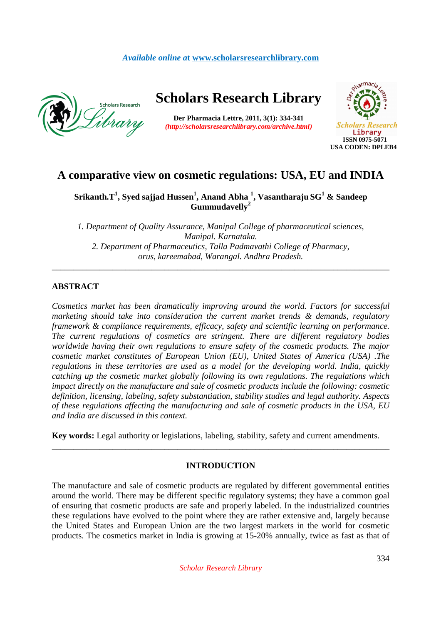### *Available online a***t www.scholarsresearchlibrary.com**



# **Scholars Research Library**

**Der Pharmacia Lettre, 2011, 3(1): 334-341** *(http://scholarsresearchlibrary.com/archive.html)*



## **A comparative view on cosmetic regulations: USA, EU and INDIA**

### **Srikanth.T<sup>1</sup> , Syed sajjad Hussen<sup>1</sup> , Anand Abha <sup>1</sup> , Vasantharaju SG<sup>1</sup> & Sandeep Gummudavelly<sup>2</sup>**

*1. Department of Quality Assurance, Manipal College of pharmaceutical sciences, Manipal. Karnataka. 2. Department of Pharmaceutics, Talla Padmavathi College of Pharmacy, orus, kareemabad, Warangal. Andhra Pradesh.*  \_\_\_\_\_\_\_\_\_\_\_\_\_\_\_\_\_\_\_\_\_\_\_\_\_\_\_\_\_\_\_\_\_\_\_\_\_\_\_\_\_\_\_\_\_\_\_\_\_\_\_\_\_\_\_\_\_\_\_\_\_\_\_\_\_\_\_\_\_\_\_\_\_\_\_\_\_\_

### **ABSTRACT**

*Cosmetics market has been dramatically improving around the world. Factors for successful marketing should take into consideration the current market trends & demands, regulatory framework & compliance requirements, efficacy, safety and scientific learning on performance. The current regulations of cosmetics are stringent. There are different regulatory bodies worldwide having their own regulations to ensure safety of the cosmetic products. The major cosmetic market constitutes of European Union (EU), United States of America (USA) .The regulations in these territories are used as a model for the developing world. India, quickly catching up the cosmetic market globally following its own regulations. The regulations which impact directly on the manufacture and sale of cosmetic products include the following: cosmetic definition, licensing, labeling, safety substantiation, stability studies and legal authority. Aspects of these regulations affecting the manufacturing and sale of cosmetic products in the USA, EU and India are discussed in this context.* 

**Key words:** Legal authority or legislations, labeling, stability, safety and current amendments.

### **INTRODUCTION**

\_\_\_\_\_\_\_\_\_\_\_\_\_\_\_\_\_\_\_\_\_\_\_\_\_\_\_\_\_\_\_\_\_\_\_\_\_\_\_\_\_\_\_\_\_\_\_\_\_\_\_\_\_\_\_\_\_\_\_\_\_\_\_\_\_\_\_\_\_\_\_\_\_\_\_\_\_\_

The manufacture and sale of cosmetic products are regulated by different governmental entities around the world. There may be different specific regulatory systems; they have a common goal of ensuring that cosmetic products are safe and properly labeled. In the industrialized countries these regulations have evolved to the point where they are rather extensive and, largely because the United States and European Union are the two largest markets in the world for cosmetic products. The cosmetics market in India is growing at 15-20% annually, twice as fast as that of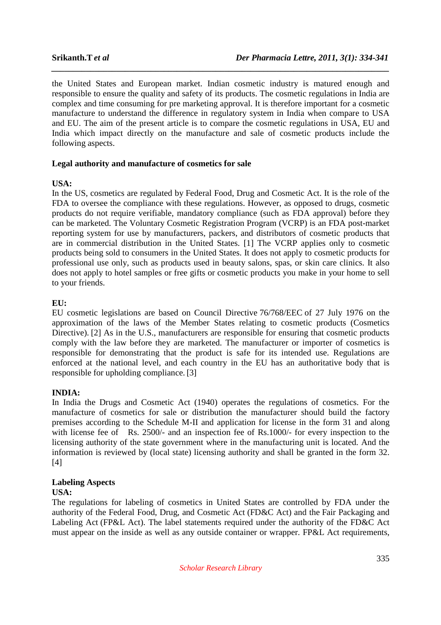the United States and European market. Indian cosmetic industry is matured enough and responsible to ensure the quality and safety of its products. The cosmetic regulations in India are complex and time consuming for pre marketing approval. It is therefore important for a cosmetic manufacture to understand the difference in regulatory system in India when compare to USA and EU. The aim of the present article is to compare the cosmetic regulations in USA, EU and India which impact directly on the manufacture and sale of cosmetic products include the following aspects.

*\_\_\_\_\_\_\_\_\_\_\_\_\_\_\_\_\_\_\_\_\_\_\_\_\_\_\_\_\_\_\_\_\_\_\_\_\_\_\_\_\_\_\_\_\_\_\_\_\_\_\_\_\_\_\_\_\_\_\_\_\_\_\_\_\_\_\_\_\_\_\_\_\_\_\_\_\_\_*

### **Legal authority and manufacture of cosmetics for sale**

### **USA:**

In the US, cosmetics are regulated by Federal Food, Drug and Cosmetic Act. It is the role of the FDA to oversee the compliance with these regulations. However, as opposed to drugs, cosmetic products do not require verifiable, mandatory compliance (such as FDA approval) before they can be marketed. The Voluntary Cosmetic Registration Program (VCRP) is an FDA post-market reporting system for use by manufacturers, packers, and distributors of cosmetic products that are in commercial distribution in the United States. [1] The VCRP applies only to cosmetic products being sold to consumers in the United States. It does not apply to cosmetic products for professional use only, such as products used in beauty salons, spas, or skin care clinics. It also does not apply to hotel samples or free gifts or cosmetic products you make in your home to sell to your friends.

### **EU:**

EU cosmetic legislations are based on Council Directive 76/768/EEC of 27 July 1976 on the approximation of the laws of the Member States relating to cosmetic products (Cosmetics Directive). [2] As in the U.S., manufacturers are responsible for ensuring that cosmetic products comply with the law before they are marketed. The manufacturer or importer of cosmetics is responsible for demonstrating that the product is safe for its intended use. Regulations are enforced at the national level, and each country in the EU has an authoritative body that is responsible for upholding compliance. [3]

### **INDIA:**

In India the Drugs and Cosmetic Act (1940) operates the regulations of cosmetics. For the manufacture of cosmetics for sale or distribution the manufacturer should build the factory premises according to the Schedule M-II and application for license in the form 31 and along with license fee of Rs. 2500/- and an inspection fee of Rs. 1000/- for every inspection to the licensing authority of the state government where in the manufacturing unit is located. And the information is reviewed by (local state) licensing authority and shall be granted in the form 32. [4]

## **Labeling Aspects**

### **USA:**

The regulations for labeling of cosmetics in United States are controlled by FDA under the authority of the Federal Food, Drug, and Cosmetic Act (FD&C Act) and the Fair Packaging and Labeling Act (FP&L Act). The label statements required under the authority of the FD&C Act must appear on the inside as well as any outside container or wrapper. FP&L Act requirements,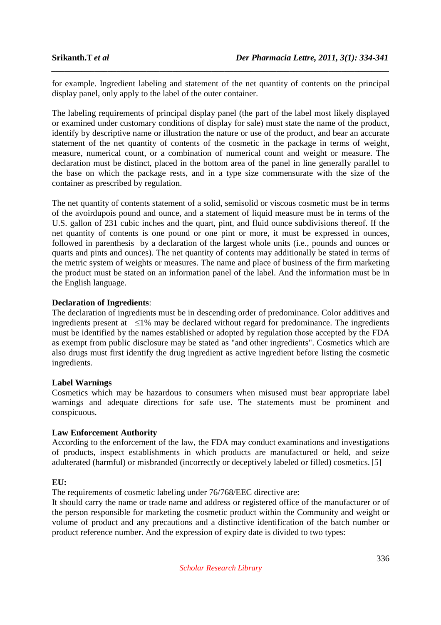for example. Ingredient labeling and statement of the net quantity of contents on the principal display panel, only apply to the label of the outer container.

*\_\_\_\_\_\_\_\_\_\_\_\_\_\_\_\_\_\_\_\_\_\_\_\_\_\_\_\_\_\_\_\_\_\_\_\_\_\_\_\_\_\_\_\_\_\_\_\_\_\_\_\_\_\_\_\_\_\_\_\_\_\_\_\_\_\_\_\_\_\_\_\_\_\_\_\_\_\_*

The labeling requirements of principal display panel (the part of the label most likely displayed or examined under customary conditions of display for sale) must state the name of the product, identify by descriptive name or illustration the nature or use of the product, and bear an accurate statement of the net quantity of contents of the cosmetic in the package in terms of weight, measure, numerical count, or a combination of numerical count and weight or measure. The declaration must be distinct, placed in the bottom area of the panel in line generally parallel to the base on which the package rests, and in a type size commensurate with the size of the container as prescribed by regulation.

The net quantity of contents statement of a solid, semisolid or viscous cosmetic must be in terms of the avoirdupois pound and ounce, and a statement of liquid measure must be in terms of the U.S. gallon of 231 cubic inches and the quart, pint, and fluid ounce subdivisions thereof. If the net quantity of contents is one pound or one pint or more, it must be expressed in ounces, followed in parenthesis by a declaration of the largest whole units (i.e., pounds and ounces or quarts and pints and ounces). The net quantity of contents may additionally be stated in terms of the metric system of weights or measures. The name and place of business of the firm marketing the product must be stated on an information panel of the label. And the information must be in the English language.

### **Declaration of Ingredients**:

The declaration of ingredients must be in descending order of predominance. Color additives and ingredients present at ≤1% may be declared without regard for predominance. The ingredients must be identified by the names established or adopted by regulation those accepted by the FDA as exempt from public disclosure may be stated as "and other ingredients". Cosmetics which are also drugs must first identify the drug ingredient as active ingredient before listing the cosmetic ingredients.

### **Label Warnings**

Cosmetics which may be hazardous to consumers when misused must bear appropriate label warnings and adequate directions for safe use. The statements must be prominent and conspicuous.

### **Law Enforcement Authority**

According to the enforcement of the law, the FDA may conduct examinations and investigations of products, inspect establishments in which products are manufactured or held, and seize adulterated (harmful) or misbranded (incorrectly or deceptively labeled or filled) cosmetics. [5]

### **EU:**

The requirements of cosmetic labeling under 76/768/EEC directive are:

It should carry the name or trade name and address or registered office of the manufacturer or of the person responsible for marketing the cosmetic product within the Community and weight or volume of product and any precautions and a distinctive identification of the batch number or product reference number. And the expression of expiry date is divided to two types: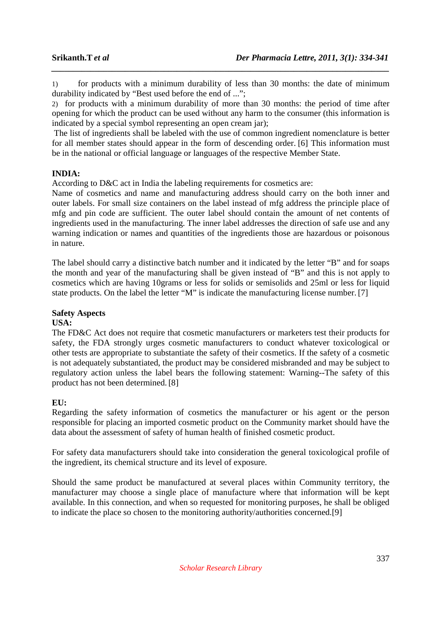1) for products with a minimum durability of less than 30 months: the date of minimum durability indicated by "Best used before the end of ...";

*\_\_\_\_\_\_\_\_\_\_\_\_\_\_\_\_\_\_\_\_\_\_\_\_\_\_\_\_\_\_\_\_\_\_\_\_\_\_\_\_\_\_\_\_\_\_\_\_\_\_\_\_\_\_\_\_\_\_\_\_\_\_\_\_\_\_\_\_\_\_\_\_\_\_\_\_\_\_*

2) for products with a minimum durability of more than 30 months: the period of time after opening for which the product can be used without any harm to the consumer (this information is indicated by a special symbol representing an open cream jar);

 The list of ingredients shall be labeled with the use of common ingredient nomenclature is better for all member states should appear in the form of descending order. [6] This information must be in the national or official language or languages of the respective Member State.

### **INDIA:**

According to D&C act in India the labeling requirements for cosmetics are:

Name of cosmetics and name and manufacturing address should carry on the both inner and outer labels. For small size containers on the label instead of mfg address the principle place of mfg and pin code are sufficient. The outer label should contain the amount of net contents of ingredients used in the manufacturing. The inner label addresses the direction of safe use and any warning indication or names and quantities of the ingredients those are hazardous or poisonous in nature.

The label should carry a distinctive batch number and it indicated by the letter "B" and for soaps the month and year of the manufacturing shall be given instead of "B" and this is not apply to cosmetics which are having 10grams or less for solids or semisolids and 25ml or less for liquid state products. On the label the letter "M" is indicate the manufacturing license number. [7]

## **Safety Aspects**

### **USA:**

The FD&C Act does not require that cosmetic manufacturers or marketers test their products for safety, the FDA strongly urges cosmetic manufacturers to conduct whatever toxicological or other tests are appropriate to substantiate the safety of their cosmetics. If the safety of a cosmetic is not adequately substantiated, the product may be considered misbranded and may be subject to regulatory action unless the label bears the following statement: Warning--The safety of this product has not been determined. [8]

### **EU:**

Regarding the safety information of cosmetics the manufacturer or his agent or the person responsible for placing an imported cosmetic product on the Community market should have the data about the assessment of safety of human health of finished cosmetic product.

For safety data manufacturers should take into consideration the general toxicological profile of the ingredient, its chemical structure and its level of exposure.

Should the same product be manufactured at several places within Community territory, the manufacturer may choose a single place of manufacture where that information will be kept available. In this connection, and when so requested for monitoring purposes, he shall be obliged to indicate the place so chosen to the monitoring authority/authorities concerned.[9]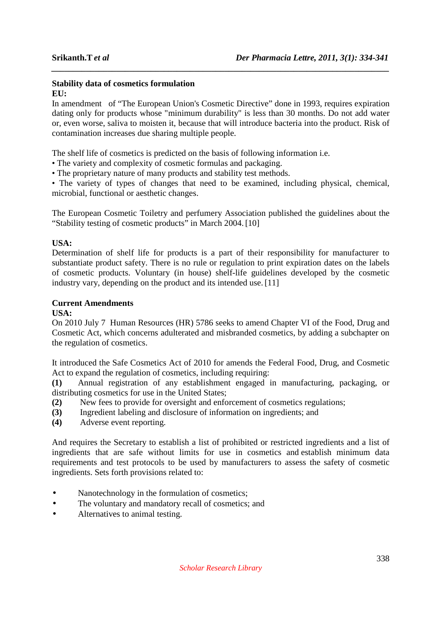# **Stability data of cosmetics formulation**

**EU:** 

In amendment of "The European Union's Cosmetic Directive" done in 1993, requires expiration dating only for products whose "minimum durability" is less than 30 months. Do not add water or, even worse, saliva to moisten it, because that will introduce bacteria into the product. Risk of contamination increases due sharing multiple people.

*\_\_\_\_\_\_\_\_\_\_\_\_\_\_\_\_\_\_\_\_\_\_\_\_\_\_\_\_\_\_\_\_\_\_\_\_\_\_\_\_\_\_\_\_\_\_\_\_\_\_\_\_\_\_\_\_\_\_\_\_\_\_\_\_\_\_\_\_\_\_\_\_\_\_\_\_\_\_*

The shelf life of cosmetics is predicted on the basis of following information i.e.

- The variety and complexity of cosmetic formulas and packaging.
- The proprietary nature of many products and stability test methods.

• The variety of types of changes that need to be examined, including physical, chemical, microbial, functional or aesthetic changes.

The European Cosmetic Toiletry and perfumery Association published the guidelines about the "Stability testing of cosmetic products" in March 2004.[10]

### **USA:**

Determination of shelf life for products is a part of their responsibility for manufacturer to substantiate product safety. There is no rule or regulation to print expiration dates on the labels of cosmetic products. Voluntary (in house) shelf-life guidelines developed by the cosmetic industry vary, depending on the product and its intended use. [11]

### **Current Amendments**

### **USA:**

On 2010 July 7 Human Resources (HR) 5786 seeks to amend Chapter VI of the Food, Drug and Cosmetic Act, which concerns adulterated and misbranded cosmetics, by adding a subchapter on the regulation of cosmetics.

It introduced the Safe Cosmetics Act of 2010 for amends the Federal Food, Drug, and Cosmetic Act to expand the regulation of cosmetics, including requiring:

**(1)** Annual registration of any establishment engaged in manufacturing, packaging, or distributing cosmetics for use in the United States;

- **(2)** New fees to provide for oversight and enforcement of cosmetics regulations;
- **(3)** Ingredient labeling and disclosure of information on ingredients; and
- **(4)** Adverse event reporting.

And requires the Secretary to establish a list of prohibited or restricted ingredients and a list of ingredients that are safe without limits for use in cosmetics and establish minimum data requirements and test protocols to be used by manufacturers to assess the safety of cosmetic ingredients. Sets forth provisions related to:

- Nanotechnology in the formulation of cosmetics;
- The voluntary and mandatory recall of cosmetics; and
- Alternatives to animal testing.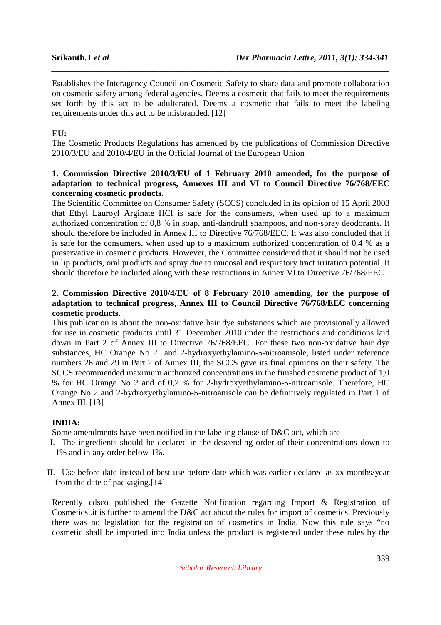Establishes the Interagency Council on Cosmetic Safety to share data and promote collaboration on cosmetic safety among federal agencies. Deems a cosmetic that fails to meet the requirements set forth by this act to be adulterated. Deems a cosmetic that fails to meet the labeling requirements under this act to be misbranded. [12]

*\_\_\_\_\_\_\_\_\_\_\_\_\_\_\_\_\_\_\_\_\_\_\_\_\_\_\_\_\_\_\_\_\_\_\_\_\_\_\_\_\_\_\_\_\_\_\_\_\_\_\_\_\_\_\_\_\_\_\_\_\_\_\_\_\_\_\_\_\_\_\_\_\_\_\_\_\_\_*

### **EU:**

The Cosmetic Products Regulations has amended by the publications of Commission Directive 2010/3/EU and 2010/4/EU in the Official Journal of the European Union

### **1. Commission Directive 2010/3/EU of 1 February 2010 amended, for the purpose of adaptation to technical progress, Annexes III and VI to Council Directive 76/768/EEC concerning cosmetic products.**

The Scientific Committee on Consumer Safety (SCCS) concluded in its opinion of 15 April 2008 that Ethyl Lauroyl Arginate HCl is safe for the consumers, when used up to a maximum authorized concentration of 0,8 % in soap, anti-dandruff shampoos, and non-spray deodorants. It should therefore be included in Annex III to Directive 76/768/EEC. It was also concluded that it is safe for the consumers, when used up to a maximum authorized concentration of 0,4 % as a preservative in cosmetic products. However, the Committee considered that it should not be used in lip products, oral products and spray due to mucosal and respiratory tract irritation potential. It should therefore be included along with these restrictions in Annex VI to Directive 76/768/EEC.

### **2. Commission Directive 2010/4/EU of 8 February 2010 amending, for the purpose of adaptation to technical progress, Annex III to Council Directive 76/768/EEC concerning cosmetic products.**

This publication is about the non-oxidative hair dye substances which are provisionally allowed for use in cosmetic products until 31 December 2010 under the restrictions and conditions laid down in Part 2 of Annex III to Directive 76/768/EEC. For these two non-oxidative hair dye substances, HC Orange No 2 and 2-hydroxyethylamino-5-nitroanisole, listed under reference numbers 26 and 29 in Part 2 of Annex III, the SCCS gave its final opinions on their safety. The SCCS recommended maximum authorized concentrations in the finished cosmetic product of 1,0 % for HC Orange No 2 and of 0,2 % for 2-hydroxyethylamino-5-nitroanisole. Therefore, HC Orange No 2 and 2-hydroxyethylamino-5-nitroanisole can be definitively regulated in Part 1 of Annex III.[13]

### **INDIA:**

Some amendments have been notified in the labeling clause of D&C act, which are

- I. The ingredients should be declared in the descending order of their concentrations down to 1% and in any order below 1%.
- II. Use before date instead of best use before date which was earlier declared as xx months/year from the date of packaging.[14]

Recently cdsco published the Gazette Notification regarding Import & Registration of Cosmetics .it is further to amend the D&C act about the rules for import of cosmetics. Previously there was no legislation for the registration of cosmetics in India. Now this rule says "no cosmetic shall be imported into India unless the product is registered under these rules by the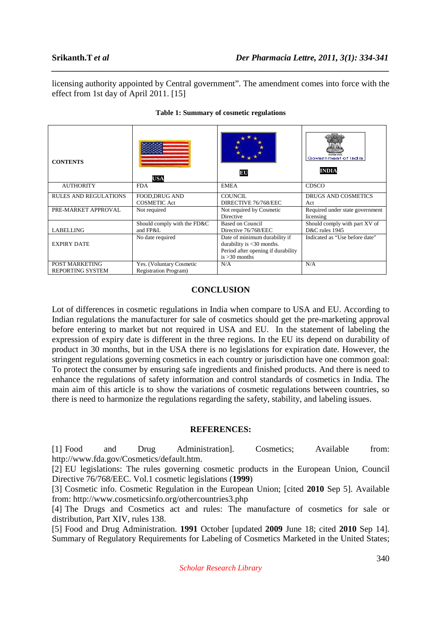licensing authority appointed by Central government". The amendment comes into force with the effect from 1st day of April 2011. [15]

*\_\_\_\_\_\_\_\_\_\_\_\_\_\_\_\_\_\_\_\_\_\_\_\_\_\_\_\_\_\_\_\_\_\_\_\_\_\_\_\_\_\_\_\_\_\_\_\_\_\_\_\_\_\_\_\_\_\_\_\_\_\_\_\_\_\_\_\_\_\_\_\_\_\_\_\_\_\_*

| <b>CONTENTS</b>                           | <b>USA</b>                                                | BU                                                                                                                     | Government of India.<br><b>INDIA</b>            |
|-------------------------------------------|-----------------------------------------------------------|------------------------------------------------------------------------------------------------------------------------|-------------------------------------------------|
| <b>AUTHORITY</b>                          | <b>FDA</b>                                                | <b>EMEA</b>                                                                                                            | CDSCO                                           |
| <b>RULES AND REGULATIONS</b>              | <b>FOOD, DRUG AND</b><br><b>COSMETIC Act</b>              | <b>COUNCIL</b><br>DIRECTIVE 76/768/EEC                                                                                 | <b>DRUGS AND COSMETICS</b><br>Act               |
| PRE-MARKET APPROVAL                       | Not required                                              | Not required by Cosmetic<br><b>Directive</b>                                                                           | Required under state government<br>licensing    |
| <b>LABELLING</b>                          | Should comply with the FD&C<br>and FP&L                   | <b>Based on Council</b><br>Directive 76/768/EEC                                                                        | Should comply with part XV of<br>D&C rules 1945 |
| <b>EXPIRY DATE</b>                        | No date required                                          | Date of minimum durability if<br>durability is $<$ 30 months.<br>Period after opening if durability<br>is $>30$ months | Indicated as "Use before date"                  |
| POST MARKETING<br><b>REPORTING SYSTEM</b> | Yes. (Voluntary Cosmetic<br><b>Registration Program</b> ) | N/A                                                                                                                    | N/A                                             |

### **Table 1: Summary of cosmetic regulations**

### **CONCLUSION**

Lot of differences in cosmetic regulations in India when compare to USA and EU. According to Indian regulations the manufacturer for sale of cosmetics should get the pre-marketing approval before entering to market but not required in USA and EU. In the statement of labeling the expression of expiry date is different in the three regions. In the EU its depend on durability of product in 30 months, but in the USA there is no legislations for expiration date. However, the stringent regulations governing cosmetics in each country or jurisdiction have one common goal: To protect the consumer by ensuring safe ingredients and finished products. And there is need to enhance the regulations of safety information and control standards of cosmetics in India. The main aim of this article is to show the variations of cosmetic regulations between countries, so there is need to harmonize the regulations regarding the safety, stability, and labeling issues.

### **REFERENCES:**

[1] Food and Drug Administration]. Cosmetics; Available from: http://www.fda.gov/Cosmetics/default.htm.

[2] EU legislations: The rules governing cosmetic products in the European Union, Council Directive 76/768/EEC. Vol.1 cosmetic legislations (**1999**)

[3] Cosmetic info. Cosmetic Regulation in the European Union; [cited **2010** Sep 5]. Available from: http://www.cosmeticsinfo.org/othercountries3.php

[4] The Drugs and Cosmetics act and rules: The manufacture of cosmetics for sale or distribution, Part XIV, rules 138.

[5] Food and Drug Administration. **1991** October [updated **2009** June 18; cited **2010** Sep 14]. Summary of Regulatory Requirements for Labeling of Cosmetics Marketed in the United States;